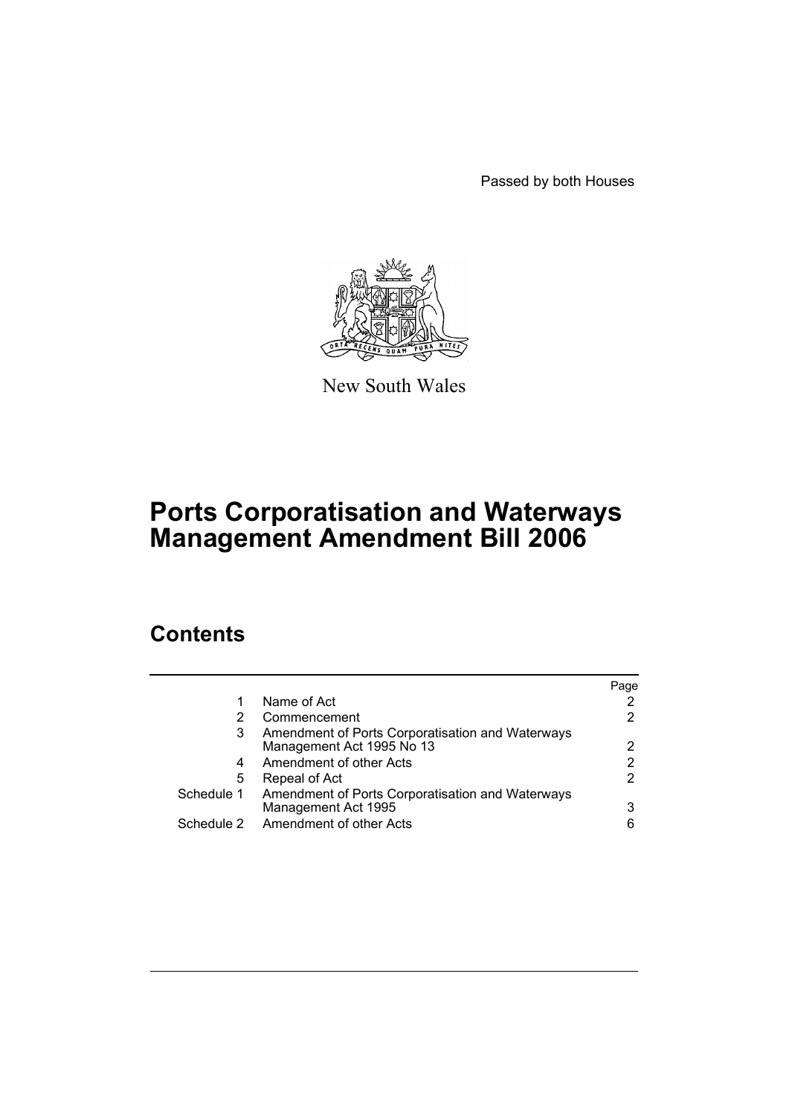Passed by both Houses



New South Wales

# **Ports Corporatisation and Waterways Management Amendment Bill 2006**

# **Contents**

|            |                                                                         | Page |
|------------|-------------------------------------------------------------------------|------|
| 1          | Name of Act                                                             |      |
|            | Commencement                                                            | 2    |
| 3          | Amendment of Ports Corporatisation and Waterways                        |      |
|            | Management Act 1995 No 13                                               | 2    |
| 4          | Amendment of other Acts                                                 | 2    |
| 5          | Repeal of Act                                                           | 2    |
| Schedule 1 | Amendment of Ports Corporatisation and Waterways<br>Management Act 1995 | 3    |
| Schedule 2 | Amendment of other Acts                                                 | 6    |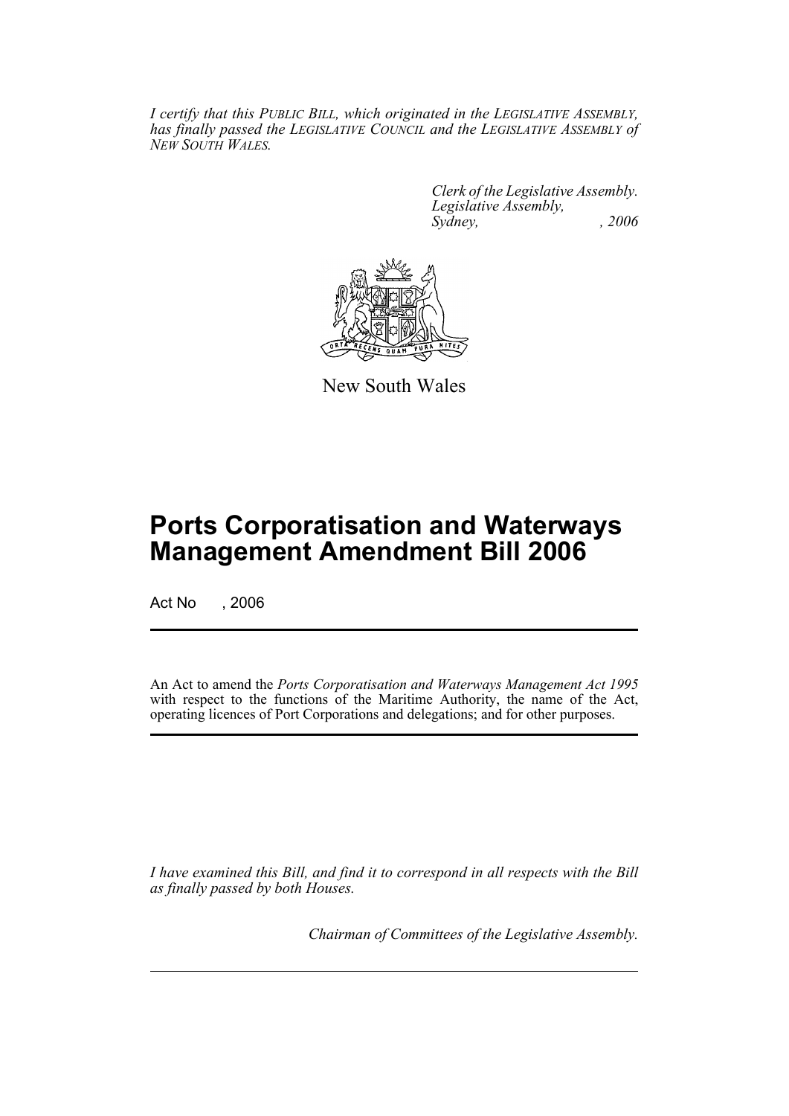*I certify that this PUBLIC BILL, which originated in the LEGISLATIVE ASSEMBLY, has finally passed the LEGISLATIVE COUNCIL and the LEGISLATIVE ASSEMBLY of NEW SOUTH WALES.*

> *Clerk of the Legislative Assembly. Legislative Assembly, Sydney, , 2006*



New South Wales

# **Ports Corporatisation and Waterways Management Amendment Bill 2006**

Act No . 2006

An Act to amend the *Ports Corporatisation and Waterways Management Act 1995* with respect to the functions of the Maritime Authority, the name of the Act, operating licences of Port Corporations and delegations; and for other purposes.

*I have examined this Bill, and find it to correspond in all respects with the Bill as finally passed by both Houses.*

*Chairman of Committees of the Legislative Assembly.*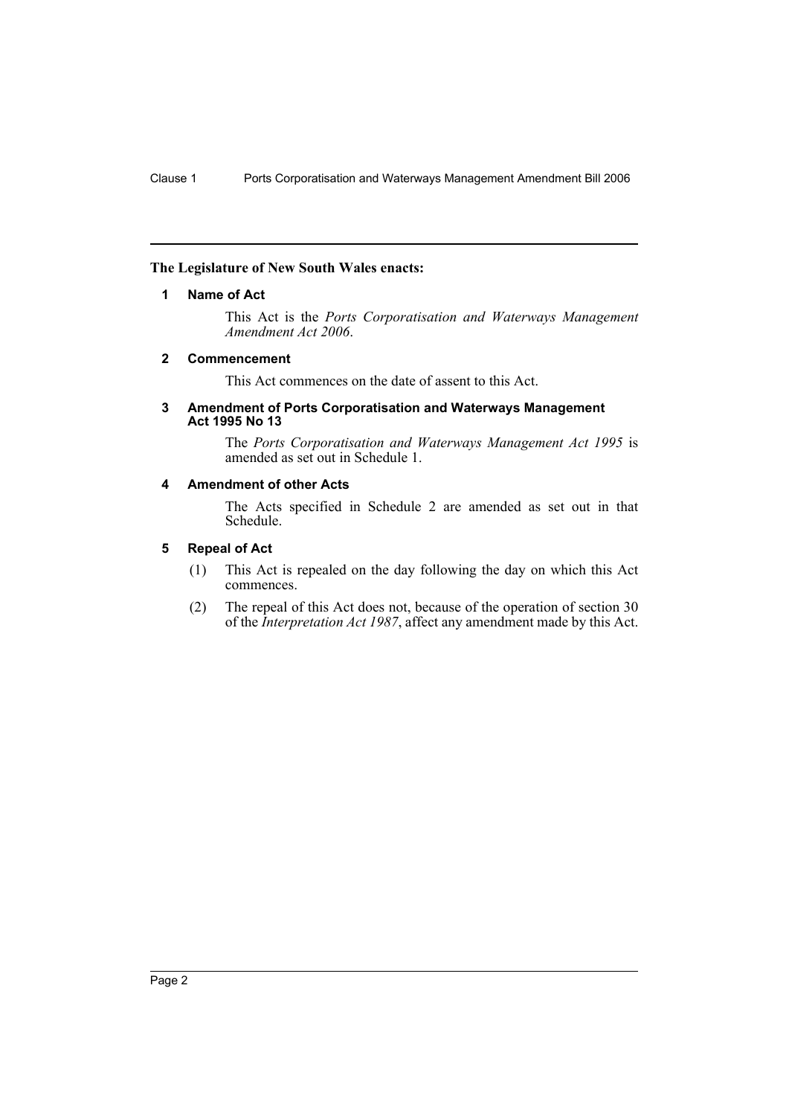#### **The Legislature of New South Wales enacts:**

#### **1 Name of Act**

This Act is the *Ports Corporatisation and Waterways Management Amendment Act 2006*.

#### **2 Commencement**

This Act commences on the date of assent to this Act.

#### **3 Amendment of Ports Corporatisation and Waterways Management Act 1995 No 13**

The *Ports Corporatisation and Waterways Management Act 1995* is amended as set out in Schedule 1.

#### **4 Amendment of other Acts**

The Acts specified in Schedule 2 are amended as set out in that Schedule.

### **5 Repeal of Act**

- (1) This Act is repealed on the day following the day on which this Act commences.
- (2) The repeal of this Act does not, because of the operation of section 30 of the *Interpretation Act 1987*, affect any amendment made by this Act.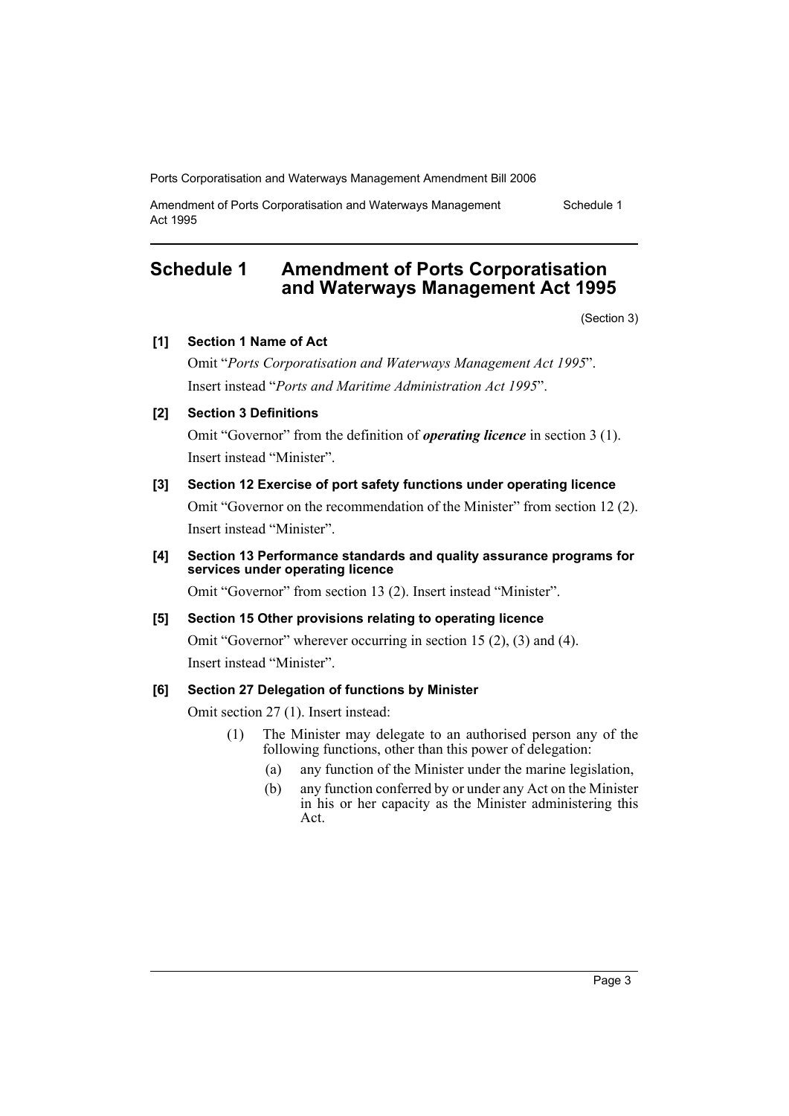Amendment of Ports Corporatisation and Waterways Management Act 1995

# **Schedule 1 Amendment of Ports Corporatisation and Waterways Management Act 1995**

(Section 3)

Schedule 1

## **[1] Section 1 Name of Act**

Omit "*Ports Corporatisation and Waterways Management Act 1995*". Insert instead "*Ports and Maritime Administration Act 1995*".

# **[2] Section 3 Definitions**

Omit "Governor" from the definition of *operating licence* in section 3 (1). Insert instead "Minister".

# **[3] Section 12 Exercise of port safety functions under operating licence**

Omit "Governor on the recommendation of the Minister" from section 12 (2). Insert instead "Minister".

### **[4] Section 13 Performance standards and quality assurance programs for services under operating licence**

Omit "Governor" from section 13 (2). Insert instead "Minister".

### **[5] Section 15 Other provisions relating to operating licence**

Omit "Governor" wherever occurring in section 15 (2), (3) and (4). Insert instead "Minister".

### **[6] Section 27 Delegation of functions by Minister**

Omit section 27 (1). Insert instead:

- (1) The Minister may delegate to an authorised person any of the following functions, other than this power of delegation:
	- (a) any function of the Minister under the marine legislation,
	- (b) any function conferred by or under any Act on the Minister in his or her capacity as the Minister administering this Act.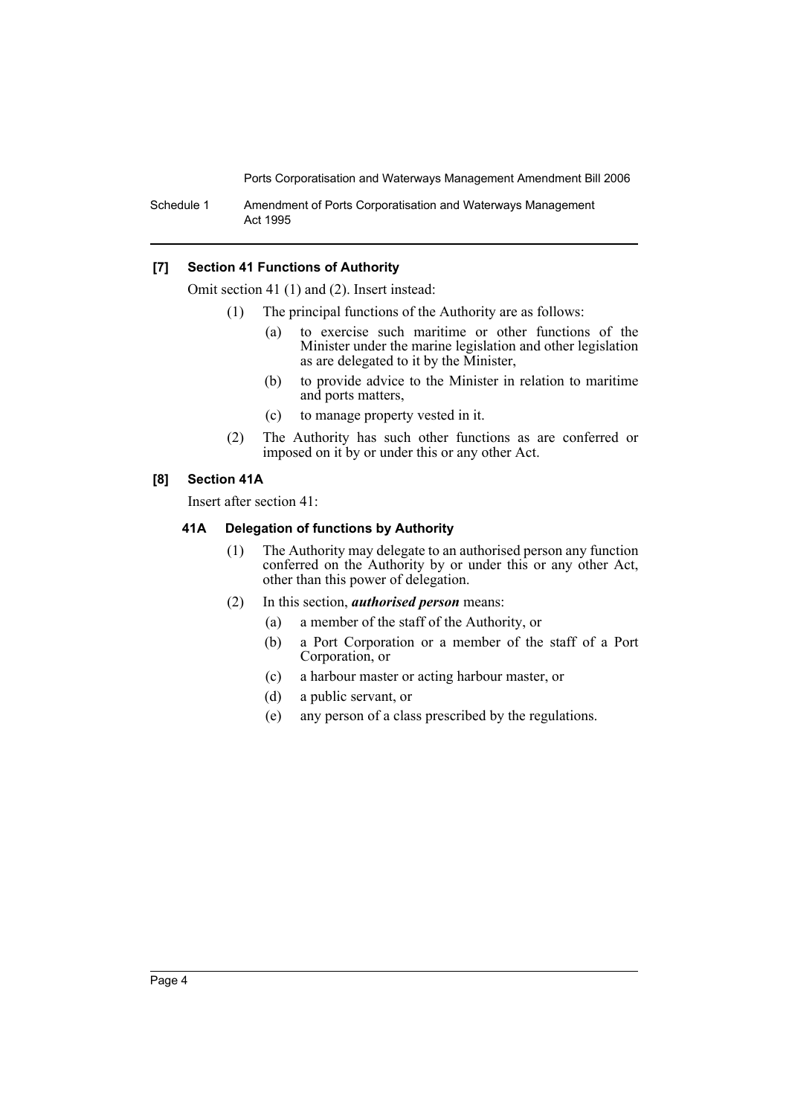Schedule 1 Amendment of Ports Corporatisation and Waterways Management Act 1995

#### **[7] Section 41 Functions of Authority**

Omit section 41 (1) and (2). Insert instead:

- (1) The principal functions of the Authority are as follows:
	- (a) to exercise such maritime or other functions of the Minister under the marine legislation and other legislation as are delegated to it by the Minister,
	- (b) to provide advice to the Minister in relation to maritime and ports matters,
	- (c) to manage property vested in it.
- (2) The Authority has such other functions as are conferred or imposed on it by or under this or any other Act.

#### **[8] Section 41A**

Insert after section 41:

#### **41A Delegation of functions by Authority**

- (1) The Authority may delegate to an authorised person any function conferred on the Authority by or under this or any other Act, other than this power of delegation.
- (2) In this section, *authorised person* means:
	- (a) a member of the staff of the Authority, or
	- (b) a Port Corporation or a member of the staff of a Port Corporation, or
	- (c) a harbour master or acting harbour master, or
	- (d) a public servant, or
	- (e) any person of a class prescribed by the regulations.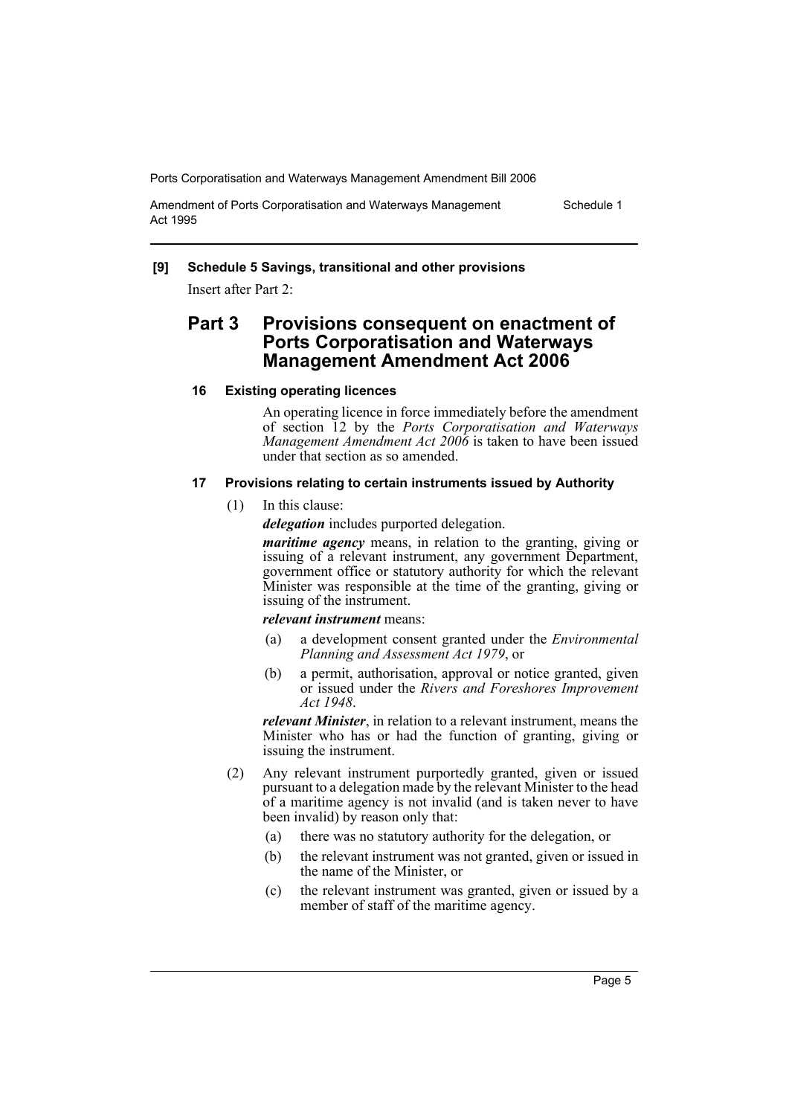Amendment of Ports Corporatisation and Waterways Management Act 1995

Schedule 1

#### **[9] Schedule 5 Savings, transitional and other provisions**

Insert after Part 2:

# **Part 3 Provisions consequent on enactment of Ports Corporatisation and Waterways Management Amendment Act 2006**

### **16 Existing operating licences**

An operating licence in force immediately before the amendment of section 12 by the *Ports Corporatisation and Waterways Management Amendment Act 2006* is taken to have been issued under that section as so amended.

#### **17 Provisions relating to certain instruments issued by Authority**

(1) In this clause:

*delegation* includes purported delegation.

*maritime agency* means, in relation to the granting, giving or issuing of a relevant instrument, any government Department, government office or statutory authority for which the relevant Minister was responsible at the time of the granting, giving or issuing of the instrument.

#### *relevant instrument* means:

- (a) a development consent granted under the *Environmental Planning and Assessment Act 1979*, or
- (b) a permit, authorisation, approval or notice granted, given or issued under the *Rivers and Foreshores Improvement Act 1948*.

*relevant Minister*, in relation to a relevant instrument, means the Minister who has or had the function of granting, giving or issuing the instrument.

- (2) Any relevant instrument purportedly granted, given or issued pursuant to a delegation made by the relevant Minister to the head of a maritime agency is not invalid (and is taken never to have been invalid) by reason only that:
	- (a) there was no statutory authority for the delegation, or
	- (b) the relevant instrument was not granted, given or issued in the name of the Minister, or
	- (c) the relevant instrument was granted, given or issued by a member of staff of the maritime agency.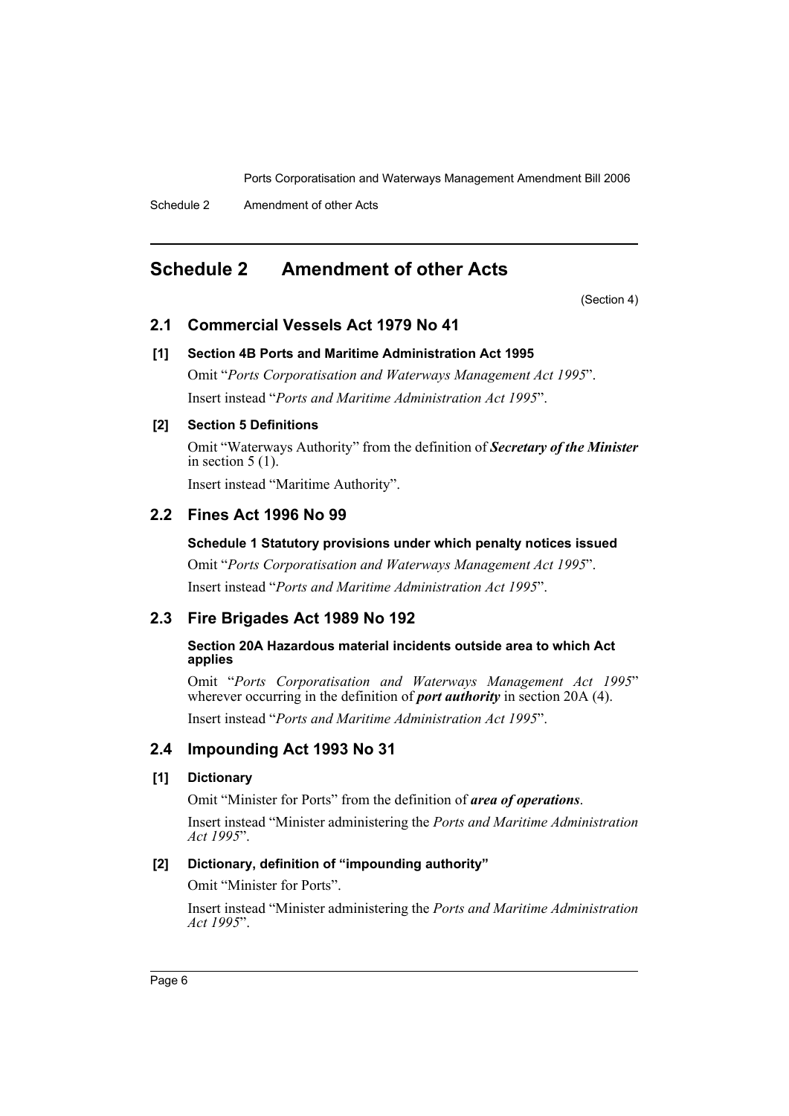# **Schedule 2 Amendment of other Acts**

(Section 4)

# **2.1 Commercial Vessels Act 1979 No 41**

#### **[1] Section 4B Ports and Maritime Administration Act 1995**

Omit "*Ports Corporatisation and Waterways Management Act 1995*". Insert instead "*Ports and Maritime Administration Act 1995*".

#### **[2] Section 5 Definitions**

Omit "Waterways Authority" from the definition of *Secretary of the Minister* in section  $5(1)$ .

Insert instead "Maritime Authority".

# **2.2 Fines Act 1996 No 99**

## **Schedule 1 Statutory provisions under which penalty notices issued**

Omit "*Ports Corporatisation and Waterways Management Act 1995*". Insert instead "*Ports and Maritime Administration Act 1995*".

# **2.3 Fire Brigades Act 1989 No 192**

#### **Section 20A Hazardous material incidents outside area to which Act applies**

Omit "*Ports Corporatisation and Waterways Management Act 1995*" wherever occurring in the definition of *port authority* in section 20A (4).

Insert instead "*Ports and Maritime Administration Act 1995*".

# **2.4 Impounding Act 1993 No 31**

## **[1] Dictionary**

Omit "Minister for Ports" from the definition of *area of operations*.

Insert instead "Minister administering the *Ports and Maritime Administration Act 1995*".

# **[2] Dictionary, definition of "impounding authority"**

Omit "Minister for Ports".

Insert instead "Minister administering the *Ports and Maritime Administration Act 1995*".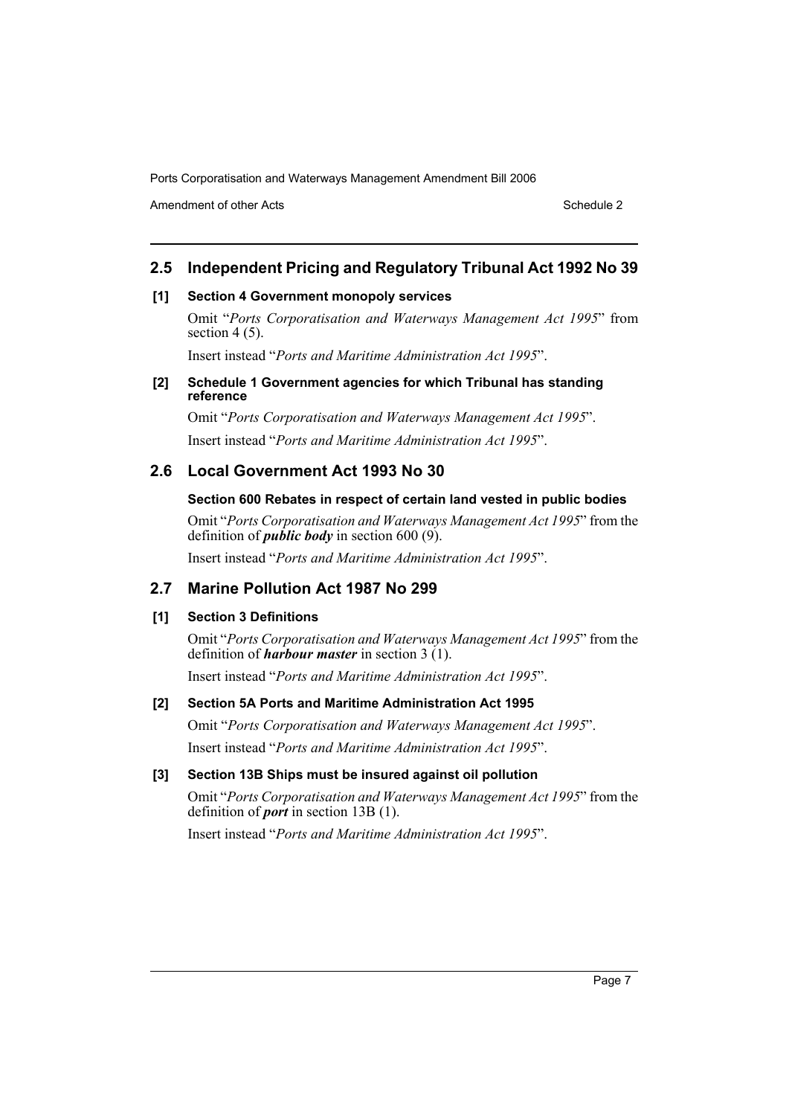Amendment of other Acts **Schedule 2** and the 2 and the 2 and 2 and 2 and 2 and 2 and 2 and 2 and 2 and 2 and 2 and 2 and 2 and 2 and 2 and 2 and 2 and 2 and 2 and 2 and 2 and 2 and 2 and 2 and 2 and 2 and 2 and 2 and 2 and

# **2.5 Independent Pricing and Regulatory Tribunal Act 1992 No 39**

#### **[1] Section 4 Government monopoly services**

Omit "*Ports Corporatisation and Waterways Management Act 1995*" from section  $4(5)$ .

Insert instead "*Ports and Maritime Administration Act 1995*".

#### **[2] Schedule 1 Government agencies for which Tribunal has standing reference**

Omit "*Ports Corporatisation and Waterways Management Act 1995*". Insert instead "*Ports and Maritime Administration Act 1995*".

# **2.6 Local Government Act 1993 No 30**

#### **Section 600 Rebates in respect of certain land vested in public bodies**

Omit "*Ports Corporatisation and Waterways Management Act 1995*" from the definition of *public body* in section 600 (9).

Insert instead "*Ports and Maritime Administration Act 1995*".

# **2.7 Marine Pollution Act 1987 No 299**

#### **[1] Section 3 Definitions**

Omit "*Ports Corporatisation and Waterways Management Act 1995*" from the definition of *harbour master* in section 3 (1).

Insert instead "*Ports and Maritime Administration Act 1995*".

#### **[2] Section 5A Ports and Maritime Administration Act 1995**

Omit "*Ports Corporatisation and Waterways Management Act 1995*". Insert instead "*Ports and Maritime Administration Act 1995*".

#### **[3] Section 13B Ships must be insured against oil pollution**

Omit "*Ports Corporatisation and Waterways Management Act 1995*" from the definition of *port* in section 13B (1).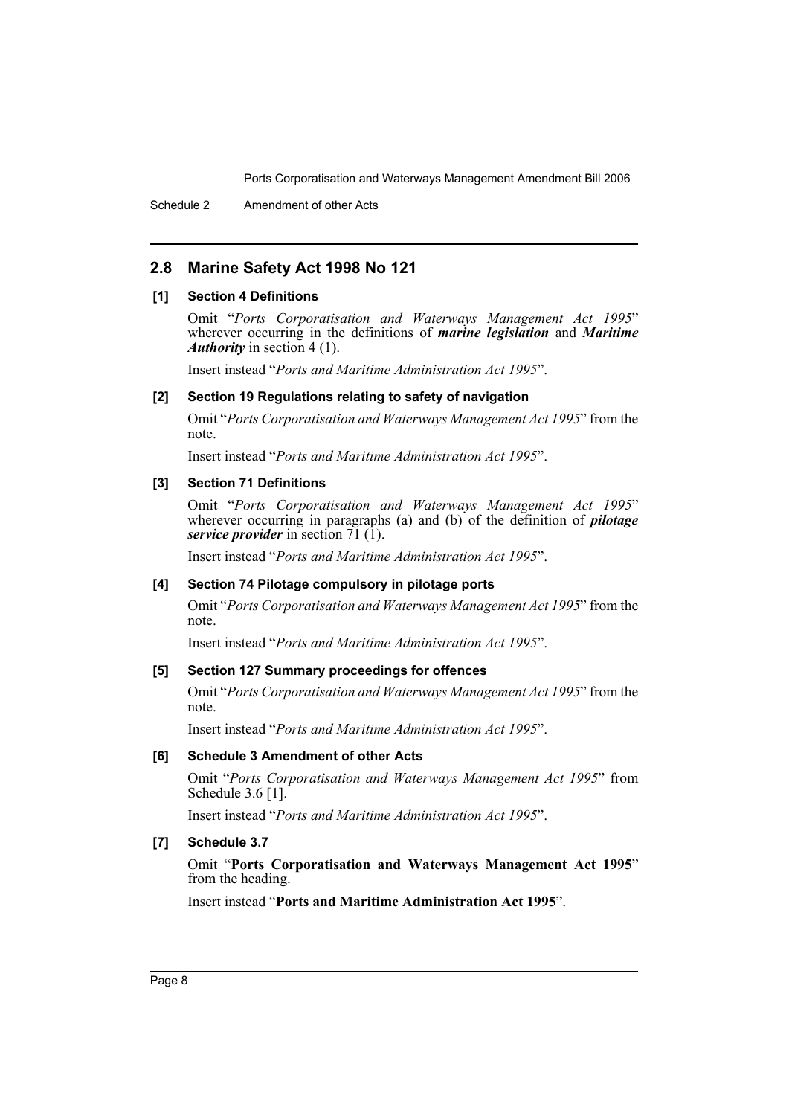# **2.8 Marine Safety Act 1998 No 121**

#### **[1] Section 4 Definitions**

Omit "*Ports Corporatisation and Waterways Management Act 1995*" wherever occurring in the definitions of *marine legislation* and *Maritime Authority* in section 4 (1).

Insert instead "*Ports and Maritime Administration Act 1995*".

#### **[2] Section 19 Regulations relating to safety of navigation**

Omit "*Ports Corporatisation and Waterways Management Act 1995*" from the note.

Insert instead "*Ports and Maritime Administration Act 1995*".

#### **[3] Section 71 Definitions**

Omit "*Ports Corporatisation and Waterways Management Act 1995*" wherever occurring in paragraphs (a) and (b) of the definition of *pilotage service provider* in section 71 (1).

Insert instead "*Ports and Maritime Administration Act 1995*".

#### **[4] Section 74 Pilotage compulsory in pilotage ports**

Omit "*Ports Corporatisation and Waterways Management Act 1995*" from the note.

Insert instead "*Ports and Maritime Administration Act 1995*".

#### **[5] Section 127 Summary proceedings for offences**

Omit "*Ports Corporatisation and Waterways Management Act 1995*" from the note.

Insert instead "*Ports and Maritime Administration Act 1995*".

#### **[6] Schedule 3 Amendment of other Acts**

Omit "*Ports Corporatisation and Waterways Management Act 1995*" from Schedule 3.6 [1].

Insert instead "*Ports and Maritime Administration Act 1995*".

#### **[7] Schedule 3.7**

Omit "**Ports Corporatisation and Waterways Management Act 1995**" from the heading.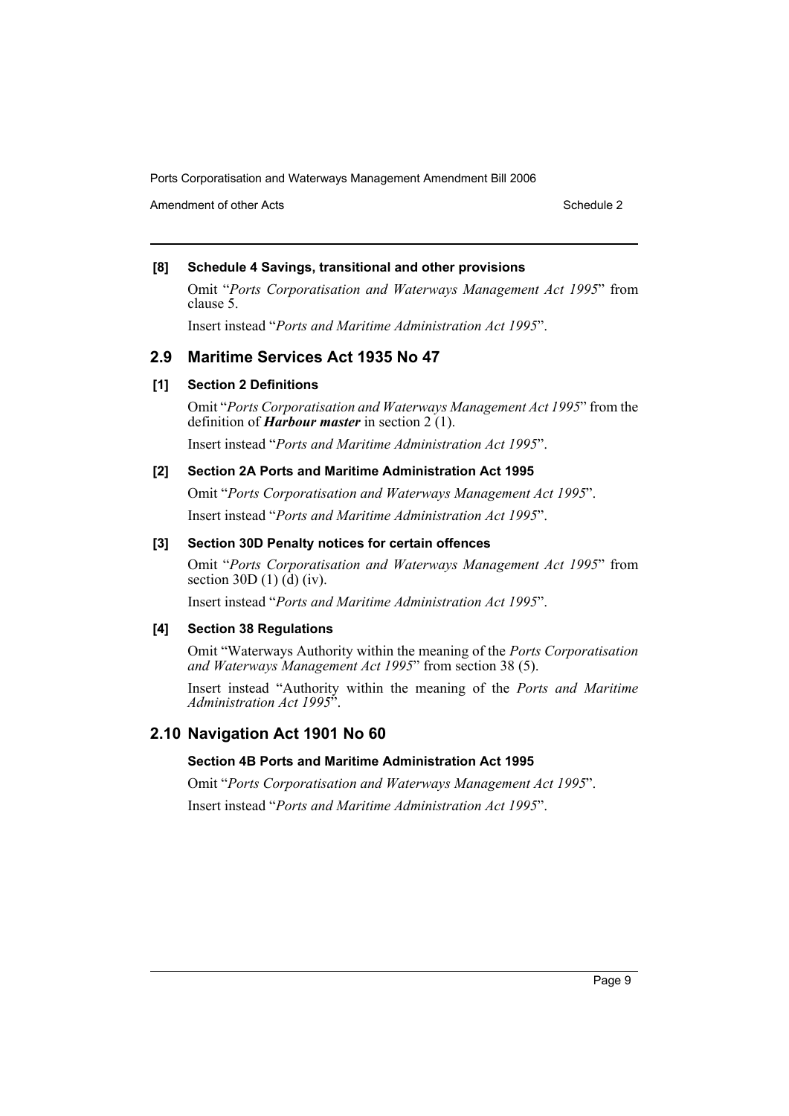Amendment of other Acts **Schedule 2** and the 2 and the 2 and 2 and 2 and 2 and 2 and 2 and 2 and 2 and 2 and 2 and 2 and 2 and 2 and 2 and 2 and 2 and 2 and 2 and 2 and 2 and 2 and 2 and 2 and 2 and 2 and 2 and 2 and 2 and

# **[8] Schedule 4 Savings, transitional and other provisions**

Omit "*Ports Corporatisation and Waterways Management Act 1995*" from clause 5.

Insert instead "*Ports and Maritime Administration Act 1995*".

# **2.9 Maritime Services Act 1935 No 47**

# **[1] Section 2 Definitions**

Omit "*Ports Corporatisation and Waterways Management Act 1995*" from the definition of *Harbour master* in section 2 (1).

Insert instead "*Ports and Maritime Administration Act 1995*".

# **[2] Section 2A Ports and Maritime Administration Act 1995**

Omit "*Ports Corporatisation and Waterways Management Act 1995*". Insert instead "*Ports and Maritime Administration Act 1995*".

### **[3] Section 30D Penalty notices for certain offences**

Omit "*Ports Corporatisation and Waterways Management Act 1995*" from section 30D  $(1)$   $(\mathbf{d})$   $(iy)$ .

Insert instead "*Ports and Maritime Administration Act 1995*".

### **[4] Section 38 Regulations**

Omit "Waterways Authority within the meaning of the *Ports Corporatisation and Waterways Management Act 1995*" from section 38 (5).

Insert instead "Authority within the meaning of the *Ports and Maritime Administration Act 1995*".

# **2.10 Navigation Act 1901 No 60**

### **Section 4B Ports and Maritime Administration Act 1995**

Omit "*Ports Corporatisation and Waterways Management Act 1995*".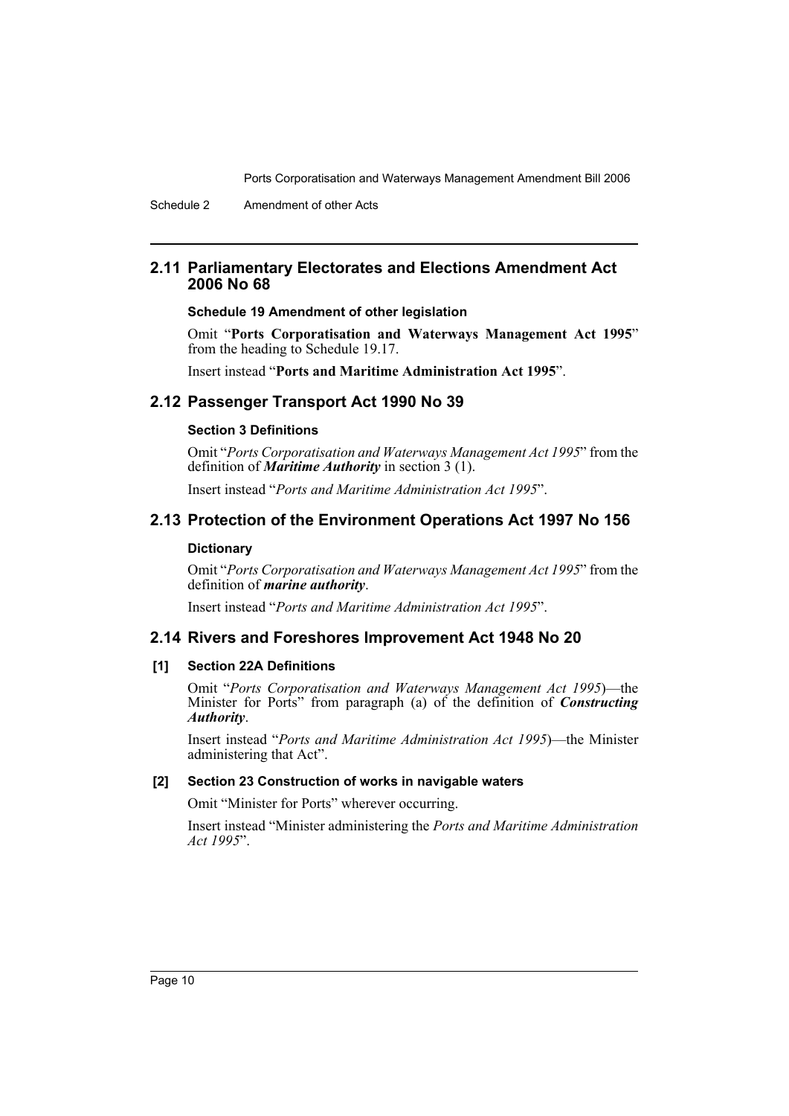# **2.11 Parliamentary Electorates and Elections Amendment Act 2006 No 68**

#### **Schedule 19 Amendment of other legislation**

Omit "**Ports Corporatisation and Waterways Management Act 1995**" from the heading to Schedule 19.17.

Insert instead "**Ports and Maritime Administration Act 1995**".

### **2.12 Passenger Transport Act 1990 No 39**

#### **Section 3 Definitions**

Omit "*Ports Corporatisation and Waterways Management Act 1995*" from the definition of *Maritime Authority* in section 3 (1).

Insert instead "*Ports and Maritime Administration Act 1995*".

# **2.13 Protection of the Environment Operations Act 1997 No 156**

#### **Dictionary**

Omit "*Ports Corporatisation and Waterways Management Act 1995*" from the definition of *marine authority*.

Insert instead "*Ports and Maritime Administration Act 1995*".

### **2.14 Rivers and Foreshores Improvement Act 1948 No 20**

#### **[1] Section 22A Definitions**

Omit "*Ports Corporatisation and Waterways Management Act 1995*)—the Minister for Ports" from paragraph (a) of the definition of *Constructing Authority*.

Insert instead "*Ports and Maritime Administration Act 1995*)—the Minister administering that Act".

#### **[2] Section 23 Construction of works in navigable waters**

Omit "Minister for Ports" wherever occurring.

Insert instead "Minister administering the *Ports and Maritime Administration Act 1995*".